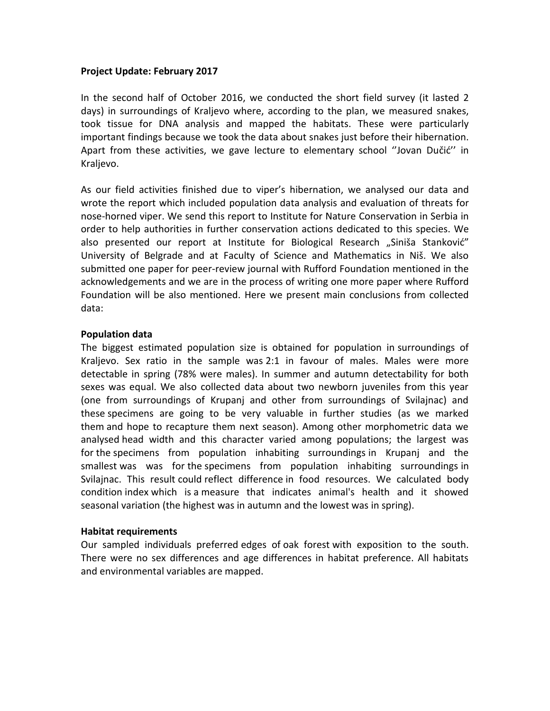## **Project Update: February 2017**

In the second half of October 2016, we conducted the short field survey (it lasted 2 days) in surroundings of Kraljevo where, according to the plan, we measured snakes, took tissue for DNA analysis and mapped the habitats. These were particularly important findings because we took the data about snakes just before their hibernation. Apart from these activities, we gave lecture to elementary school ''Jovan Dučić'' in Kraljevo.

As our field activities finished due to viper's hibernation, we analysed our data and wrote the report which included population data analysis and evaluation of threats for nose-horned viper. We send this report to Institute for Nature Conservation in Serbia in order to help authorities in further conservation actions dedicated to this species. We also presented our report at Institute for Biological Research "Siniša Stanković" University of Belgrade and at Faculty of Science and Mathematics in Niš. We also submitted one paper for peer-review journal with Rufford Foundation mentioned in the acknowledgements and we are in the process of writing one more paper where Rufford Foundation will be also mentioned. Here we present main conclusions from collected data:

## **Population data**

The biggest estimated population size is obtained for population in surroundings of Kraljevo. Sex ratio in the sample was 2:1 in favour of males. Males were more detectable in spring (78% were males). In summer and autumn detectability for both sexes was equal. We also collected data about two newborn juveniles from this year (one from surroundings of Krupanj and other from surroundings of Svilajnac) and these specimens are going to be very valuable in further studies (as we marked them and hope to recapture them next season). Among other morphometric data we analysed head width and this character varied among populations; the largest was for the specimens from population inhabiting surroundings in Krupanj and the smallest was was for the specimens from population inhabiting surroundings in Svilajnac. This result could reflect difference in food resources. We calculated body condition index which is a measure that indicates animal's health and it showed seasonal variation (the highest was in autumn and the lowest was in spring).

## **Habitat requirements**

Our sampled individuals preferred edges of oak forest with exposition to the south. There were no sex differences and age differences in habitat preference. All habitats and environmental variables are mapped.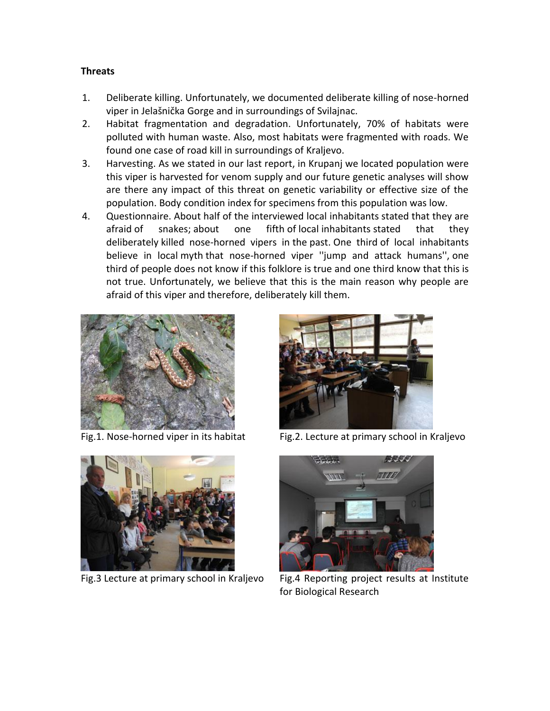## **Threats**

- 1. Deliberate killing. Unfortunately, we documented deliberate killing of nose-horned viper in Jelašnička Gorge and in surroundings of Svilajnac.
- 2. Habitat fragmentation and degradation. Unfortunately, 70% of habitats were polluted with human waste. Also, most habitats were fragmented with roads. We found one case of road kill in surroundings of Kraljevo.
- 3. Harvesting. As we stated in our last report, in Krupanj we located population were this viper is harvested for venom supply and our future genetic analyses will show are there any impact of this threat on genetic variability or effective size of the population. Body condition index for specimens from this population was low.
- 4. Questionnaire. About half of the interviewed local inhabitants stated that they are afraid of snakes; about one fifth of local inhabitants stated that they deliberately killed nose-horned vipers in the past. One third of local inhabitants believe in local myth that nose-horned viper ''jump and attack humans'', one third of people does not know if this folklore is true and one third know that this is not true. Unfortunately, we believe that this is the main reason why people are afraid of this viper and therefore, deliberately kill them.











Fig.3 Lecture at primary school in Kraljevo Fig.4 Reporting project results at Institute for Biological Research